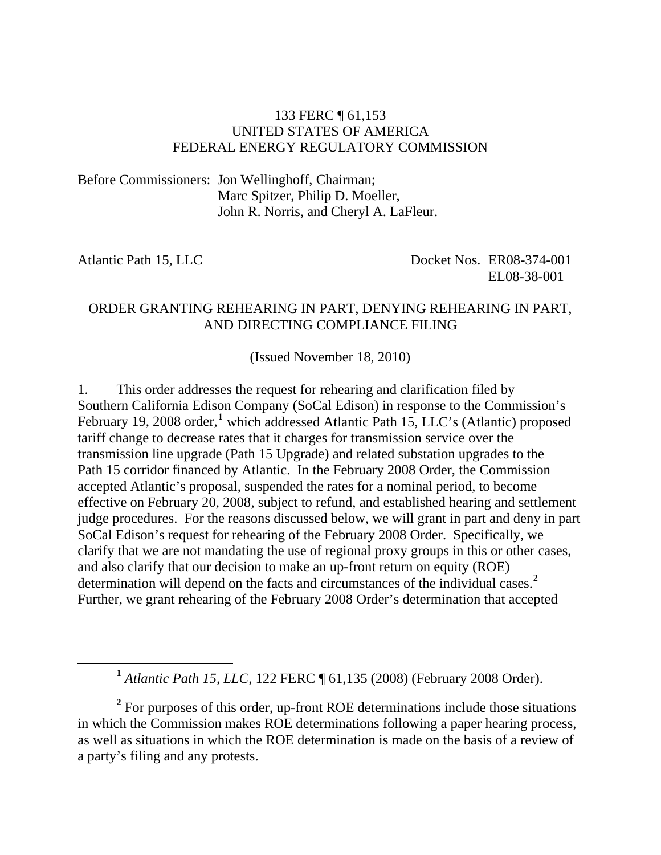### 133 FERC ¶ 61,153 UNITED STATES OF AMERICA FEDERAL ENERGY REGULATORY COMMISSION

Before Commissioners: Jon Wellinghoff, Chairman; Marc Spitzer, Philip D. Moeller, John R. Norris, and Cheryl A. LaFleur.

<span id="page-0-0"></span>

Atlantic Path 15, LLC Docket Nos. ER08-374-001 EL08-38-001

### ORDER GRANTING REHEARING IN PART, DENYING REHEARING IN PART, AND DIRECTING COMPLIANCE FILING

(Issued November 18, 2010)

1. This order addresses the request for rehearing and clarification filed by Southern California Edison Company (SoCal Edison) in response to the Commission's February [1](#page-0-0)9, 2008 order,<sup>1</sup> which addressed Atlantic Path 15, LLC's (Atlantic) proposed tariff change to decrease rates that it charges for transmission service over the transmission line upgrade (Path 15 Upgrade) and related substation upgrades to the Path 15 corridor financed by Atlantic. In the February 2008 Order, the Commission accepted Atlantic's proposal, suspended the rates for a nominal period, to become effective on February 20, 2008, subject to refund, and established hearing and settlement judge procedures. For the reasons discussed below, we will grant in part and deny in part SoCal Edison's request for rehearing of the February 2008 Order. Specifically, we clarify that we are not mandating the use of regional proxy groups in this or other cases, and also clarify that our decision to make an up-front return on equity (ROE) determination will depend on the facts and circumstances of the individual cases.**[2](#page-0-1)** Further, we grant rehearing of the February 2008 Order's determination that accepted

**<sup>1</sup>** *Atlantic Path 15, LLC*, 122 FERC ¶ 61,135 (2008) (February 2008 Order).

<span id="page-0-1"></span><sup>2</sup> For purposes of this order, up-front ROE determinations include those situations in which the Commission makes ROE determinations following a paper hearing process, as well as situations in which the ROE determination is made on the basis of a review of a party's filing and any protests.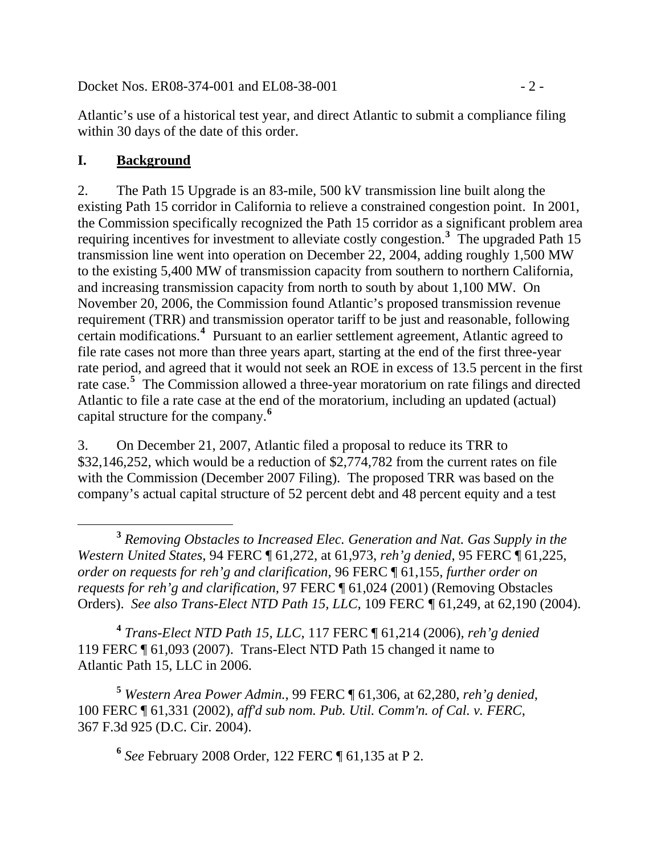Docket Nos. ER08-374-001 and EL08-38-001 - 2 -

Atlantic's use of a historical test year, and direct Atlantic to submit a compliance filing within 30 days of the date of this order.

## **I. Background**

2. The Path 15 Upgrade is an 83-mile, 500 kV transmission line built along the existing Path 15 corridor in California to relieve a constrained congestion point. In 2001, the Commission specifically recognized the Path 15 corridor as a significant problem area requiring incentives for investment to alleviate costly congestion.**[3](#page-1-0)** The upgraded Path 15 transmission line went into operation on December 22, 2004, adding roughly 1,500 MW to the existing 5,400 MW of transmission capacity from southern to northern California, and increasing transmission capacity from north to south by about 1,100 MW. On November 20, 2006, the Commission found Atlantic's proposed transmission revenue requirement (TRR) and transmission operator tariff to be just and reasonable, following certain modifications.**[4](#page-1-1)** Pursuant to an earlier settlement agreement, Atlantic agreed to file rate cases not more than three years apart, starting at the end of the first three-year rate period, and agreed that it would not seek an ROE in excess of 13.5 percent in the first rate case.**[5](#page-1-2)** The Commission allowed a three-year moratorium on rate filings and directed Atlantic to file a rate case at the end of the moratorium, including an updated (actual) capital structure for the company.**[6](#page-1-3)**

3. On December 21, 2007, Atlantic filed a proposal to reduce its TRR to \$32,146,252, which would be a reduction of \$2,774,782 from the current rates on file with the Commission (December 2007 Filing). The proposed TRR was based on the company's actual capital structure of 52 percent debt and 48 percent equity and a test

<span id="page-1-1"></span>**<sup>4</sup>** *Trans-Elect NTD Path 15, LLC*, 117 FERC ¶ 61,214 (2006), *reh'g denied* 119 FERC ¶ 61,093 (2007). Trans-Elect NTD Path 15 changed it name to Atlantic Path 15, LLC in 2006.

<span id="page-1-3"></span><span id="page-1-2"></span>**<sup>5</sup>** *Western Area Power Admin.*, 99 FERC ¶ 61,306, at 62,280, *reh'g denied*, 100 FERC ¶ 61,331 (2002), *aff'd sub nom. Pub. Util. Comm'n. of Cal. v. FERC*, 367 F.3d 925 (D.C. Cir. 2004).

**<sup>6</sup>** *See* February 2008 Order, 122 FERC ¶ 61,135 at P 2.

<span id="page-1-0"></span>**<sup>3</sup>** *Removing Obstacles to Increased Elec. Generation and Nat. Gas Supply in the Western United States*, 94 FERC ¶ 61,272, at 61,973, *reh'g denied*, 95 FERC ¶ 61,225, *order on requests for reh'g and clarification*, 96 FERC ¶ 61,155, *further order on requests for reh'g and clarification,* 97 FERC ¶ 61,024 (2001) (Removing Obstacles Orders). *See also Trans-Elect NTD Path 15, LLC,* 109 FERC *¶* 61,249, at 62,190 (2004).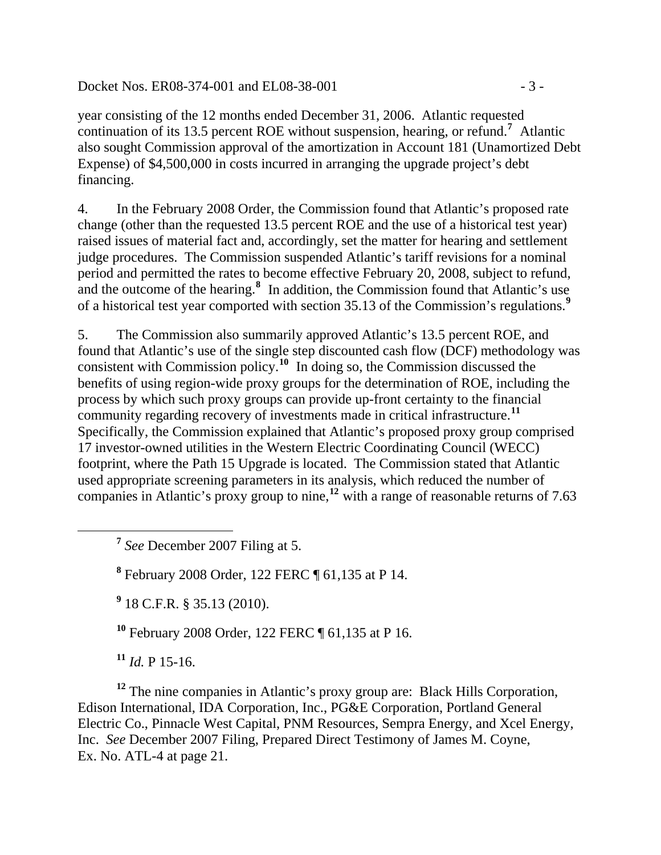Docket Nos. ER08-374-001 and EL08-38-001 - 3 -

year consisting of the 12 months ended December 31, 2006. Atlantic requested continuation of its 13.5 percent ROE without suspension, hearing, or refund.**<sup>7</sup>** Atlantic also sought Commission approval of the amortization in Account 181 (Unamortized Debt Expense) of \$4,500,000 in costs incurred in arranging the upgrade project's debt financing.

4. In the February 2008 Order, the Commission found that Atlantic's proposed rate change (other than the requested 13.5 percent ROE and the use of a historical test year) raised issues of material fact and, accordingly, set the matter for hearing and settlement judge procedures. The Commission suspended Atlantic's tariff revisions for a nominal period and permitted the rates to become effective February 20, 2008, subject to refund, and the outcome of the hearing.**[8](#page-2-0)** In addition, the Commission found that Atlantic's use of a historical test year comported with section 35.13 of the Commission's regulations.**[9](#page-2-1)**

Specifically, the Commission explained that Atlantic's proposed proxy group comprised used appropriate screening parameters in its analysis, which reduced the number of companies in Atlantic's proxy group to nine,<sup>[12](#page-2-4)</sup> with a range of reasonable returns of 7.63 5. The Commission also summarily approved Atlantic's 13.5 percent ROE, and found that Atlantic's use of the single step discounted cash flow (DCF) methodology was consistent with Commission policy.**[10](#page-2-2)** In doing so, the Commission discussed the benefits of using region-wide proxy groups for the determination of ROE, including the process by which such proxy groups can provide up-front certainty to the financial community regarding recovery of investments made in critical infrastructure.**[11](#page-2-3)** 17 investor-owned utilities in the Western Electric Coordinating Council (WECC) footprint, where the Path 15 Upgrade is located. The Commission stated that Atlantic

**<sup>7</sup>** *See* December 2007 Filing at 5.

**8** February 2008 Order, 122 FERC ¶ 61,135 at P 14.

**9** 18 C.F.R. § 35.13 (2010).

**<sup>10</sup>** February 2008 Order, 122 FERC ¶ 61,135 at P 16.

**<sup>11</sup>** *Id.* P 15-16.

<span id="page-2-1"></span><span id="page-2-0"></span> $\overline{a}$ 

<span id="page-2-4"></span><span id="page-2-3"></span><span id="page-2-2"></span><sup>12</sup> The nine companies in Atlantic's proxy group are: Black Hills Corporation, Edison International, IDA Corporation, Inc., PG&E Corporation, Portland General Electric Co., Pinnacle West Capital, PNM Resources, Sempra Energy, and Xcel Energy, Inc. *See* December 2007 Filing, Prepared Direct Testimony of James M. Coyne, Ex. No. ATL-4 at page 21.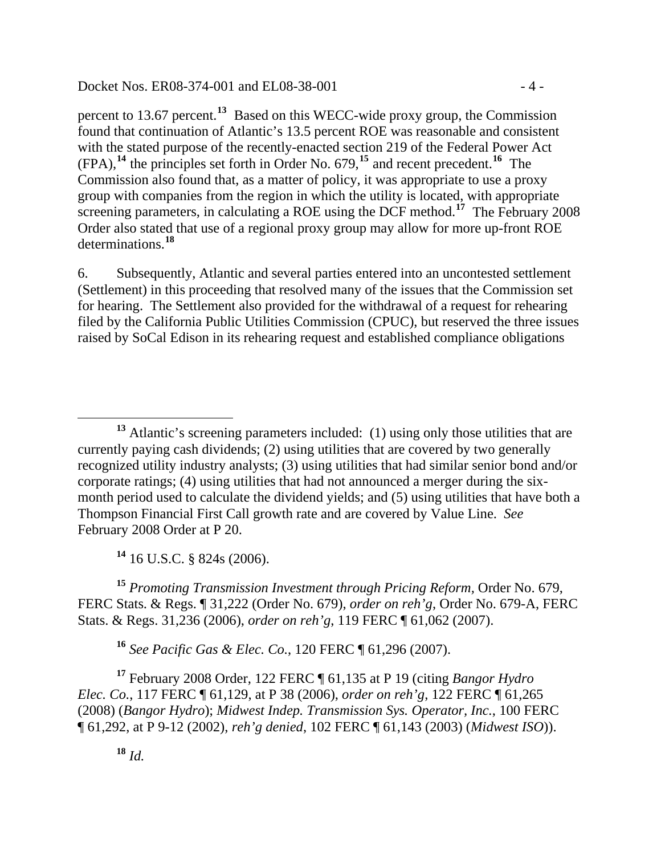#### Docket Nos. ER08-374-001 and EL08-38-001 - 4 -

found that continuation of Atlantic's 13.5 percent ROE was reasonable and consistent screening parameters, in calculating a ROE using the DCF method.<sup>17</sup> The February 2008 Order also stated that use of a regional proxy group may allow for more up-front ROE determinations. **18** percent to 13.67 percent.**<sup>13</sup>** Based on this WECC-wide proxy group, the Commission with the stated purpose of the recently-enacted section 219 of the Federal Power Act (FPA),**<sup>14</sup>** the principles set forth in Order No. 679,**<sup>15</sup>** and recent precedent.**<sup>16</sup>** The Commission also found that, as a matter of policy, it was appropriate to use a proxy group with companies from the region in which the utility is located, with appropriate

filed by the California Public Utilities Commission (CPUC), but reserved the three issues raised by SoCal Edison in its rehearing request and established compliance obligations 6. Subsequently, Atlantic and several parties entered into an uncontested settlement (Settlement) in this proceeding that resolved many of the issues that the Commission set for hearing. The Settlement also provided for the withdrawal of a request for rehearing

**<sup>14</sup>** [16 U.S.C. § 824s \(2006\)](http://www.lexis.com/research/buttonTFLink?_m=0cf453debea09465bccba52dac265b5e&_xfercite=%3ccite%20cc%3d%22USA%22%3e%3c%21%5bCDATA%5b124%20F.E.R.C.%20P61%2c106%5d%5d%3e%3c%2fcite%3e&_butType=4&_butStat=0&_butNum=83&_butInline=1&_butinfo=16%20U.S.C.%20824S&_fmtstr=FULL&docnum=1&_startdoc=1&wchp=dGLzVzz-zSkAW&_md5=8020da3c6f7a69283103be5b85026b60).

**<sup>15</sup>** *Promoting Transmission Investment through Pricing Reform,* Order No. 679, FERC Stats. & Regs. ¶ 31,222 (Order No. 679), *order on reh'g*, Order No. 679-A, FERC Stats. & Regs. 31,236 (2006), *order on reh'g*, 119 FERC ¶ 61,062 (2007).

**<sup>16</sup>** *See Pacific Gas & Elec. Co.*, 120 FERC ¶ 61,296 (2007).

**<sup>17</sup>** February 2008 Order, 122 FERC ¶ 61,135 at P 19 (citing *Bangor Hydro Elec. Co.*, 117 FERC ¶ 61,129, at P 38 (2006), *order on reh'g*, 122 FERC ¶ 61,265 (2008) (*Bangor Hydro*); *Midwest Indep. Transmission Sys. Operator, Inc.*, 100 FERC ¶ 61,292, at P 9-12 (2002), *reh'g denied*, 102 FERC ¶ 61,143 (2003) (*Midwest ISO*)).

**<sup>18</sup>** *Id.*

 $\overline{a}$ **<sup>13</sup>** Atlantic's screening parameters included: (1) using only those utilities that are currently paying cash dividends; (2) using utilities that are covered by two generally recognized utility industry analysts; (3) using utilities that had similar senior bond and/or corporate ratings; (4) using utilities that had not announced a merger during the sixmonth period used to calculate the dividend yields; and (5) using utilities that have both a Thompson Financial First Call growth rate and are covered by Value Line. *See* February 2008 Order at P 20.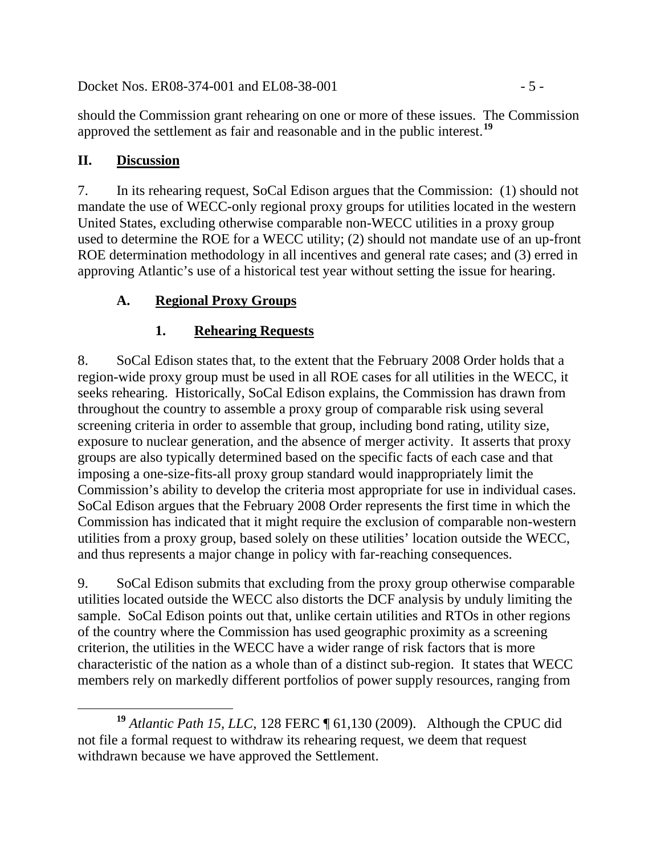Docket Nos. ER08-374-001 and EL08-38-001 - 5 -

should the Commission grant rehearing on one or more of these issues. The Commission approved the settlement as fair and reasonable and in the public interest.**[19](#page-4-0)**

## **II. Discussion**

7. In its rehearing request, SoCal Edison argues that the Commission: (1) should not mandate the use of WECC-only regional proxy groups for utilities located in the western United States, excluding otherwise comparable non-WECC utilities in a proxy group used to determine the ROE for a WECC utility; (2) should not mandate use of an up-front ROE determination methodology in all incentives and general rate cases; and (3) erred in approving Atlantic's use of a historical test year without setting the issue for hearing.

# **A. Regional Proxy Groups**

# **1. Rehearing Requests**

8. SoCal Edison states that, to the extent that the February 2008 Order holds that a region-wide proxy group must be used in all ROE cases for all utilities in the WECC, it seeks rehearing. Historically, SoCal Edison explains, the Commission has drawn from throughout the country to assemble a proxy group of comparable risk using several screening criteria in order to assemble that group, including bond rating, utility size, exposure to nuclear generation, and the absence of merger activity. It asserts that proxy groups are also typically determined based on the specific facts of each case and that imposing a one-size-fits-all proxy group standard would inappropriately limit the Commission's ability to develop the criteria most appropriate for use in individual cases. SoCal Edison argues that the February 2008 Order represents the first time in which the Commission has indicated that it might require the exclusion of comparable non-western utilities from a proxy group, based solely on these utilities' location outside the WECC, and thus represents a major change in policy with far-reaching consequences.

9. SoCal Edison submits that excluding from the proxy group otherwise comparable utilities located outside the WECC also distorts the DCF analysis by unduly limiting the sample. SoCal Edison points out that, unlike certain utilities and RTOs in other regions of the country where the Commission has used geographic proximity as a screening criterion, the utilities in the WECC have a wider range of risk factors that is more characteristic of the nation as a whole than of a distinct sub-region. It states that WECC members rely on markedly different portfolios of power supply resources, ranging from

<span id="page-4-0"></span>**<sup>19</sup>** *Atlantic Path 15, LLC*, 128 FERC ¶ 61,130 (2009). Although the CPUC did not file a formal request to withdraw its rehearing request, we deem that request withdrawn because we have approved the Settlement.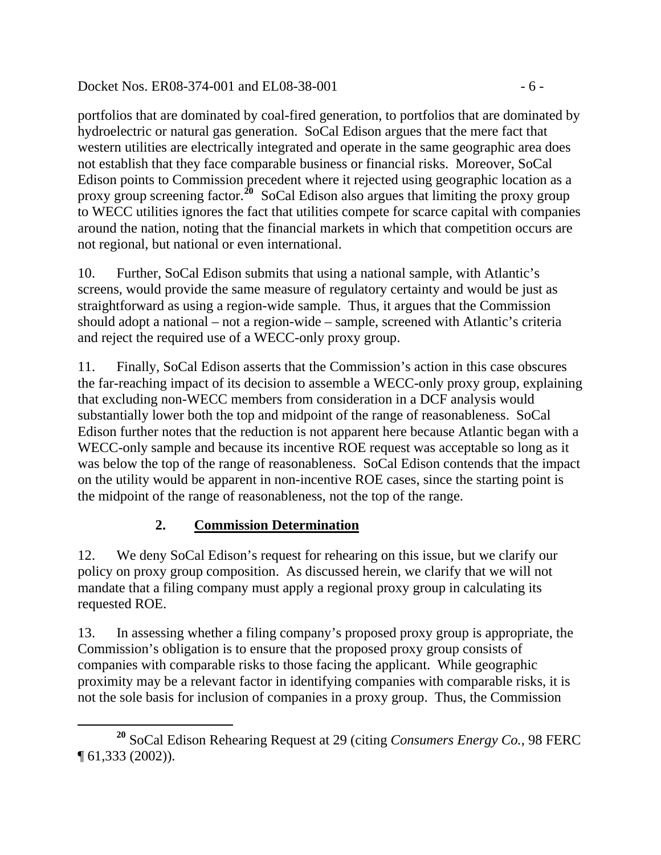### Docket Nos. ER08-374-001 and EL08-38-001 - 6 -

portfolios that are dominated by coal-fired generation, to portfolios that are dominated by hydroelectric or natural gas generation. SoCal Edison argues that the mere fact that western utilities are electrically integrated and operate in the same geographic area does not establish that they face comparable business or financial risks. Moreover, SoCal Edison points to Commission precedent where it rejected using geographic location as a proxy group screening factor.<sup>20</sup> SoCal Edison also argues that limiting the proxy group to WECC utilities ignores the fact that utilities compete for scarce capital with companies around the nation, noting that the financial markets in which that competition occurs are not regional, but national or even international.

10. Further, SoCal Edison submits that using a national sample, with Atlantic's screens, would provide the same measure of regulatory certainty and would be just as straightforward as using a region-wide sample. Thus, it argues that the Commission should adopt a national – not a region-wide – sample, screened with Atlantic's criteria and reject the required use of a WECC-only proxy group.

11. Finally, SoCal Edison asserts that the Commission's action in this case obscures the far-reaching impact of its decision to assemble a WECC-only proxy group, explaining that excluding non-WECC members from consideration in a DCF analysis would substantially lower both the top and midpoint of the range of reasonableness. SoCal Edison further notes that the reduction is not apparent here because Atlantic began with a WECC-only sample and because its incentive ROE request was acceptable so long as it was below the top of the range of reasonableness. SoCal Edison contends that the impact on the utility would be apparent in non-incentive ROE cases, since the starting point is the midpoint of the range of reasonableness, not the top of the range.

# **2. Commission Determination**

12. We deny SoCal Edison's request for rehearing on this issue, but we clarify our policy on proxy group composition. As discussed herein, we clarify that we will not mandate that a filing company must apply a regional proxy group in calculating its requested ROE.

13. In assessing whether a filing company's proposed proxy group is appropriate, the Commission's obligation is to ensure that the proposed proxy group consists of companies with comparable risks to those facing the applicant. While geographic proximity may be a relevant factor in identifying companies with comparable risks, it is not the sole basis for inclusion of companies in a proxy group. Thus, the Commission

**<sup>20</sup>** SoCal Edison Rehearing Request at 29 (citing *Consumers Energy Co.*, 98 FERC ¶ 61,333 (2002)).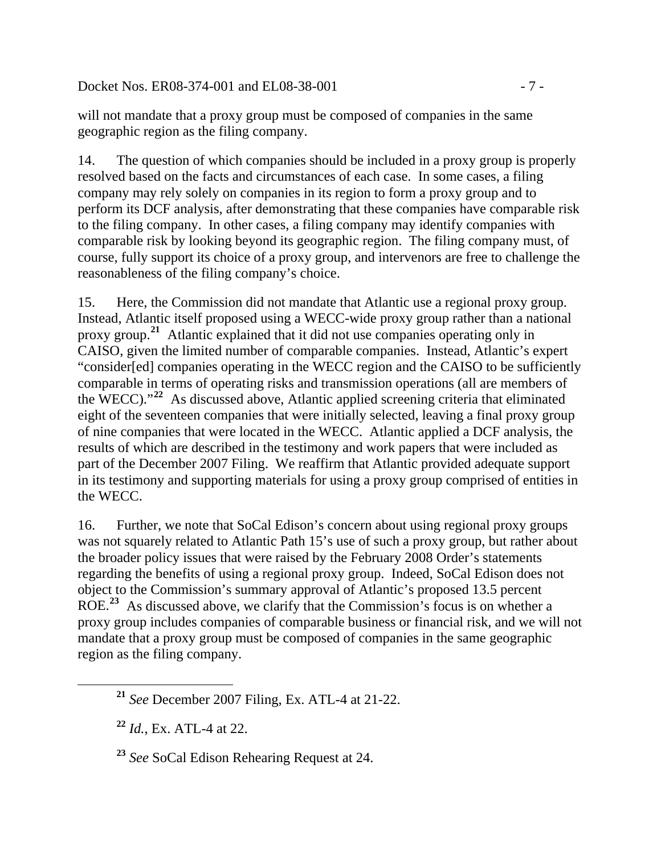Docket Nos. ER08-374-001 and EL08-38-001 - 7 -

will not mandate that a proxy group must be composed of companies in the same geographic region as the filing company.

14. The question of which companies should be included in a proxy group is properly resolved based on the facts and circumstances of each case. In some cases, a filing company may rely solely on companies in its region to form a proxy group and to perform its DCF analysis, after demonstrating that these companies have comparable risk to the filing company. In other cases, a filing company may identify companies with comparable risk by looking beyond its geographic region. The filing company must, of course, fully support its choice of a proxy group, and intervenors are free to challenge the reasonableness of the filing company's choice.

CAISO, given the limited number of comparable companies. Instead, Atlantic's expert 15. Here, the Commission did not mandate that Atlantic use a regional proxy group. Instead, Atlantic itself proposed using a WECC-wide proxy group rather than a national proxy group.**[21](#page-6-0)** Atlantic explained that it did not use companies operating only in "consider[ed] companies operating in the WECC region and the CAISO to be sufficiently comparable in terms of operating risks and transmission operations (all are members of the WECC)."**[22](#page-6-1)** As discussed above, Atlantic applied screening criteria that eliminated eight of the seventeen companies that were initially selected, leaving a final proxy group of nine companies that were located in the WECC. Atlantic applied a DCF analysis, the results of which are described in the testimony and work papers that were included as part of the December 2007 Filing. We reaffirm that Atlantic provided adequate support in its testimony and supporting materials for using a proxy group comprised of entities in the WECC.

16. Further, we note that SoCal Edison's concern about using regional proxy groups was not squarely related to Atlantic Path 15's use of such a proxy group, but rather about the broader policy issues that were raised by the February 2008 Order's statements regarding the benefits of using a regional proxy group. Indeed, SoCal Edison does not object to the Commission's summary approval of Atlantic's proposed 13.5 percent ROE.**[23](#page-6-2)** As discussed above, we clarify that the Commission's focus is on whether a proxy group includes companies of comparable business or financial risk, and we will not mandate that a proxy group must be composed of companies in the same geographic region as the filing company.

<span id="page-6-2"></span><span id="page-6-1"></span><span id="page-6-0"></span>

**<sup>21</sup>** *See* December 2007 Filing, Ex. ATL-4 at 21-22.

**<sup>22</sup>** *Id.*, Ex. ATL-4 at 22.

**<sup>23</sup>** *See* SoCal Edison Rehearing Request at 24.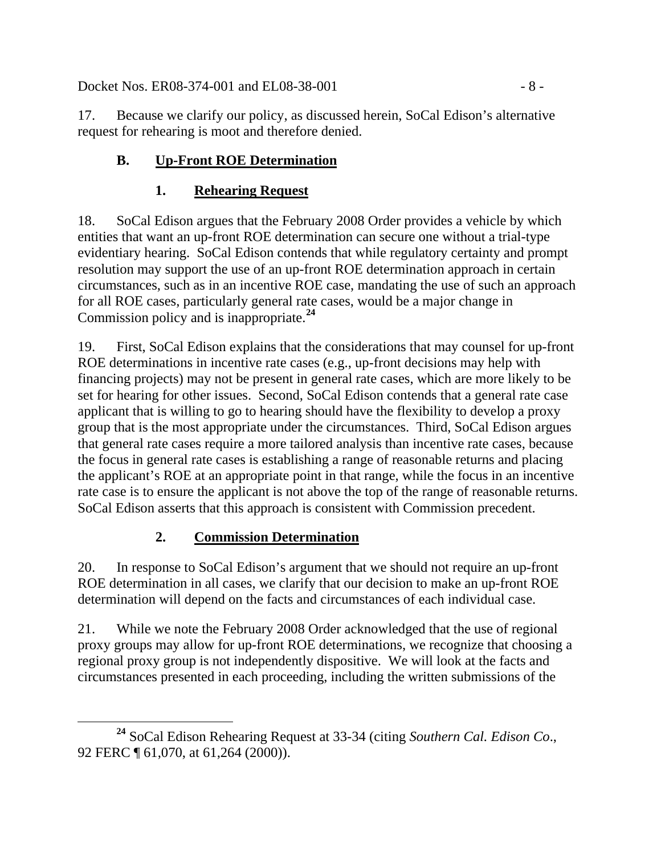Docket Nos. ER08-374-001 and EL08-38-001 - 8 -

17. Because we clarify our policy, as discussed herein, SoCal Edison's alternative request for rehearing is moot and therefore denied.

# **B. Up-Front ROE Determination**

# **1. Rehearing Request**

18. SoCal Edison argues that the February 2008 Order provides a vehicle by which entities that want an up-front ROE determination can secure one without a trial-type evidentiary hearing. SoCal Edison contends that while regulatory certainty and prompt resolution may support the use of an up-front ROE determination approach in certain circumstances, such as in an incentive ROE case, mandating the use of such an approach for all ROE cases, particularly general rate cases, would be a major change in Commission policy and is inappropriate.**[24](#page-7-0)**

19. First, SoCal Edison explains that the considerations that may counsel for up-front ROE determinations in incentive rate cases (e.g., up-front decisions may help with financing projects) may not be present in general rate cases, which are more likely to be set for hearing for other issues. Second, SoCal Edison contends that a general rate case applicant that is willing to go to hearing should have the flexibility to develop a proxy group that is the most appropriate under the circumstances. Third, SoCal Edison argues that general rate cases require a more tailored analysis than incentive rate cases, because the focus in general rate cases is establishing a range of reasonable returns and placing the applicant's ROE at an appropriate point in that range, while the focus in an incentive rate case is to ensure the applicant is not above the top of the range of reasonable returns. SoCal Edison asserts that this approach is consistent with Commission precedent.

# **2. Commission Determination**

20. In response to SoCal Edison's argument that we should not require an up-front ROE determination in all cases, we clarify that our decision to make an up-front ROE determination will depend on the facts and circumstances of each individual case.

21. While we note the February 2008 Order acknowledged that the use of regional proxy groups may allow for up-front ROE determinations, we recognize that choosing a regional proxy group is not independently dispositive. We will look at the facts and circumstances presented in each proceeding, including the written submissions of the

<span id="page-7-0"></span>**<sup>24</sup>** SoCal Edison Rehearing Request at 33-34 (citing *Southern Cal. Edison Co*., 92 FERC ¶ 61,070, at 61,264 (2000)).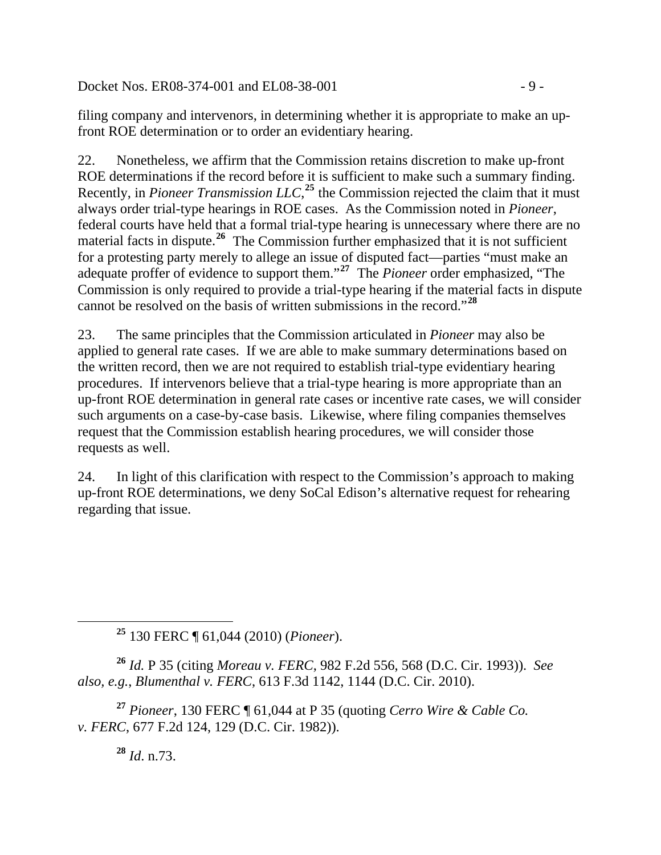Docket Nos. ER08-374-001 and EL08-38-001  $-9$  -

filing company and intervenors, in determining whether it is appropriate to make an upfront ROE determination or to order an evidentiary hearing.

22. Nonetheless, we affirm that the Commission retains discretion to make up-front ROE determinations if the record before it is sufficient to make such a summary finding. Recently, in *Pioneer Transmission LLC*,<sup>[25](#page-8-0)</sup> the Commission rejected the claim that it must always order trial-type hearings in ROE cases. As the Commission noted in *Pioneer*, federal courts have held that a formal trial-type hearing is unnecessary where there are no material facts in dispute.<sup>[26](#page-8-1)</sup> The Commission further emphasized that it is not sufficient for a protesting party merely to allege an issue of disputed fact—parties "must make an adequate proffer of evidence to support them."**[27](#page-8-2)** The *Pioneer* order emphasized, "The Commission is only required to provide a trial-type hearing if the material facts in dispute cannot be resolved on the basis of written submissions in the record."**[28](#page-8-3)**

23. The same principles that the Commission articulated in *Pioneer* may also be applied to general rate cases. If we are able to make summary determinations based on the written record, then we are not required to establish trial-type evidentiary hearing procedures. If intervenors believe that a trial-type hearing is more appropriate than an up-front ROE determination in general rate cases or incentive rate cases, we will consider such arguments on a case-by-case basis. Likewise, where filing companies themselves request that the Commission establish hearing procedures, we will consider those requests as well.

24. In light of this clarification with respect to the Commission's approach to making up-front ROE determinations, we deny SoCal Edison's alternative request for rehearing regarding that issue.

**<sup>25</sup>** 130 FERC ¶ 61,044 (2010) (*Pioneer*).

<span id="page-8-1"></span>**<sup>26</sup>** *Id.* P 35 (citing *Moreau v. FERC*, 982 F.2d 556, 568 (D.C. Cir. 1993)). *See also, e.g.*, *Blumenthal v. FERC*, 613 F.3d 1142, 1144 (D.C. Cir. 2010).

<span id="page-8-3"></span><span id="page-8-2"></span>**<sup>27</sup>** *Pioneer*, 130 FERC ¶ 61,044 at P 35 (quoting *Cerro Wire & Cable Co. v. FERC*, 677 F.2d 124, 129 (D.C. Cir. 1982)).

**<sup>28</sup>** *Id*. n.73.

<span id="page-8-0"></span>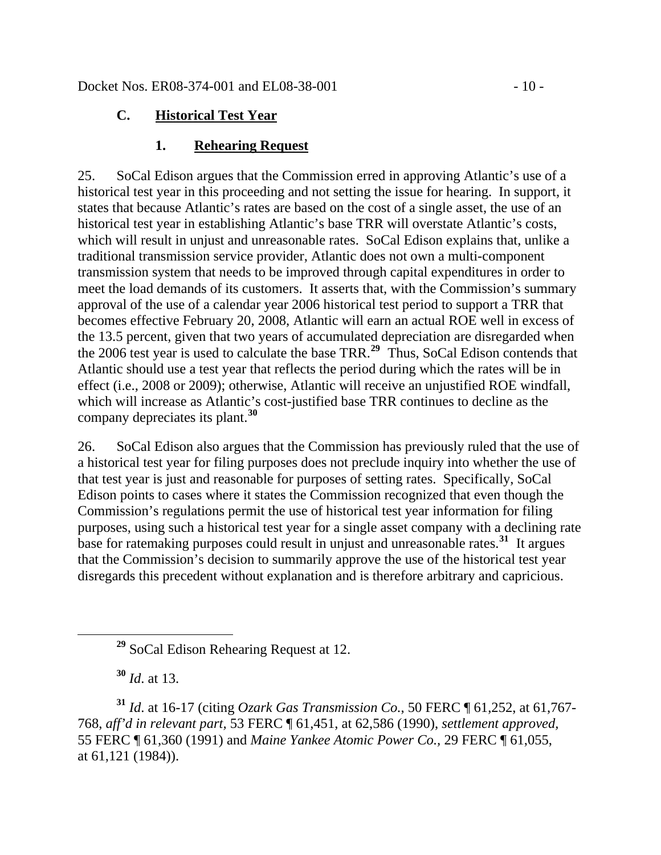### **C. Historical Test Year**

### **1. Rehearing Request**

25. SoCal Edison argues that the Commission erred in approving Atlantic's use of a historical test year in this proceeding and not setting the issue for hearing. In support, it states that because Atlantic's rates are based on the cost of a single asset, the use of an historical test year in establishing Atlantic's base TRR will overstate Atlantic's costs, which will result in unjust and unreasonable rates. SoCal Edison explains that, unlike a traditional transmission service provider, Atlantic does not own a multi-component transmission system that needs to be improved through capital expenditures in order to meet the load demands of its customers. It asserts that, with the Commission's summary approval of the use of a calendar year 2006 historical test period to support a TRR that becomes effective February 20, 2008, Atlantic will earn an actual ROE well in excess of the 13.5 percent, given that two years of accumulated depreciation are disregarded when the 2006 test year is used to calculate the base TRR.**[29](#page-9-0)** Thus, SoCal Edison contends that Atlantic should use a test year that reflects the period during which the rates will be in effect (i.e., 2008 or 2009); otherwise, Atlantic will receive an unjustified ROE windfall, which will increase as Atlantic's cost-justified base TRR continues to decline as the company depreciates its plant.**[30](#page-9-1)**

26. SoCal Edison also argues that the Commission has previously ruled that the use of a historical test year for filing purposes does not preclude inquiry into whether the use of that test year is just and reasonable for purposes of setting rates. Specifically, SoCal Edison points to cases where it states the Commission recognized that even though the Commission's regulations permit the use of historical test year information for filing purposes, using such a historical test year for a single asset company with a declining rate base for ratemaking purposes could result in unjust and unreasonable rates.**[31](#page-9-2)** It argues that the Commission's decision to summarily approve the use of the historical test year disregards this precedent without explanation and is therefore arbitrary and capricious.

**<sup>30</sup>** *Id*. at 13.

<span id="page-9-2"></span><span id="page-9-1"></span><span id="page-9-0"></span>**<sup>31</sup>** *Id*. at 16-17 (citing *Ozark Gas Transmission Co.*, 50 FERC ¶ 61,252, at 61,767- 768, *aff'd in relevant part,* 53 FERC ¶ 61,451, at 62,586 (1990), *settlement approved,*  55 FERC ¶ 61,360 (1991) and *Maine Yankee Atomic Power Co.,* 29 FERC ¶ 61,055, at 61,121 (1984)).

**<sup>29</sup>** SoCal Edison Rehearing Request at 12.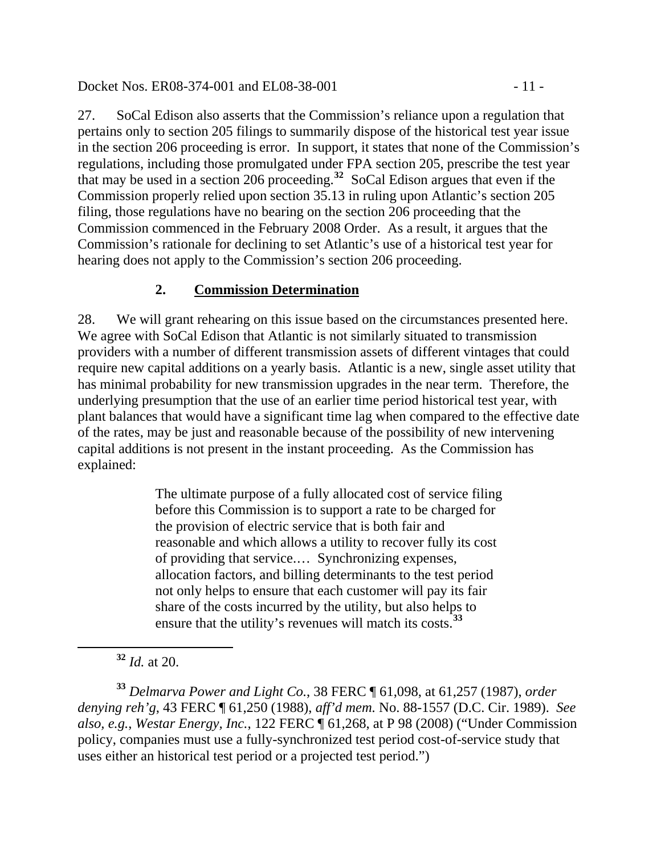#### Docket Nos. ER08-374-001 and EL08-38-001 - 11 -

27. SoCal Edison also asserts that the Commission's reliance upon a regulation that pertains only to section 205 filings to summarily dispose of the historical test year issue in the section 206 proceeding is error. In support, it states that none of the Commission's regulations, including those promulgated under FPA section 205, prescribe the test year that may be used in a section 206 proceeding.**[32](#page-10-0)** SoCal Edison argues that even if the Commission properly relied upon section 35.13 in ruling upon Atlantic's section 205 filing, those regulations have no bearing on the section 206 proceeding that the Commission commenced in the February 2008 Order. As a result, it argues that the Commission's rationale for declining to set Atlantic's use of a historical test year for hearing does not apply to the Commission's section 206 proceeding.

## **2. Commission Determination**

28. We will grant rehearing on this issue based on the circumstances presented here. We agree with SoCal Edison that Atlantic is not similarly situated to transmission providers with a number of different transmission assets of different vintages that could require new capital additions on a yearly basis. Atlantic is a new, single asset utility that has minimal probability for new transmission upgrades in the near term. Therefore, the underlying presumption that the use of an earlier time period historical test year, with plant balances that would have a significant time lag when compared to the effective date of the rates, may be just and reasonable because of the possibility of new intervening capital additions is not present in the instant proceeding. As the Commission has explained:

> The ultimate purpose of a fully allocated cost of service filing before this Commission is to support a rate to be charged for the provision of electric service that is both fair and reasonable and which allows a utility to recover fully its cost of providing that service.… Synchronizing expenses, allocation factors, and billing determinants to the test period not only helps to ensure that each customer will pay its fair share of the costs incurred by the utility, but also helps to ensure that the utility's revenues will match its costs.**[33](#page-10-1)**

<span id="page-10-1"></span><span id="page-10-0"></span>**<sup>33</sup>** *Delmarva Power and Light Co.*, 38 FERC ¶ 61,098, at 61,257 (1987), *order denying reh'g*, 43 FERC ¶ 61,250 (1988), *aff'd mem.* No. 88-1557 (D.C. Cir. 1989). *See also, e.g.*, *Westar Energy, Inc.*, 122 FERC ¶ 61,268, at P 98 (2008) ("Under Commission policy, companies must use a fully-synchronized test period cost-of-service study that uses either an historical test period or a projected test period.")

**<sup>32</sup>** *Id.* at 20.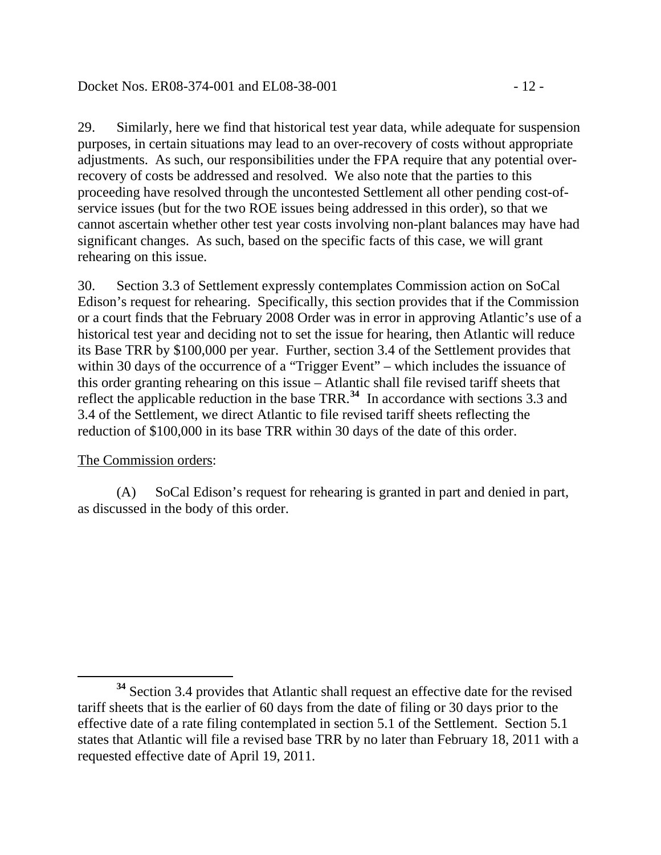29. Similarly, here we find that historical test year data, while adequate for suspension purposes, in certain situations may lead to an over-recovery of costs without appropriate adjustments. As such, our responsibilities under the FPA require that any potential overrecovery of costs be addressed and resolved. We also note that the parties to this proceeding have resolved through the uncontested Settlement all other pending cost-ofservice issues (but for the two ROE issues being addressed in this order), so that we cannot ascertain whether other test year costs involving non-plant balances may have had significant changes. As such, based on the specific facts of this case, we will grant rehearing on this issue.

30. Section 3.3 of Settlement expressly contemplates Commission action on SoCal Edison's request for rehearing. Specifically, this section provides that if the Commission or a court finds that the February 2008 Order was in error in approving Atlantic's use of a historical test year and deciding not to set the issue for hearing, then Atlantic will reduce its Base TRR by \$100,000 per year. Further, section 3.4 of the Settlement provides that within 30 days of the occurrence of a "Trigger Event" – which includes the issuance of this order granting rehearing on this issue – Atlantic shall file revised tariff sheets that reflect the applicable reduction in the base TRR.**[34](#page-11-0)** In accordance with sections 3.3 and 3.4 of the Settlement, we direct Atlantic to file revised tariff sheets reflecting the reduction of \$100,000 in its base TRR within 30 days of the date of this order.

### The Commission orders:

(A) SoCal Edison's request for rehearing is granted in part and denied in part, as discussed in the body of this order.

<span id="page-11-0"></span>**<sup>34</sup>** Section 3.4 provides that Atlantic shall request an effective date for the revised tariff sheets that is the earlier of 60 days from the date of filing or 30 days prior to the effective date of a rate filing contemplated in section 5.1 of the Settlement. Section 5.1 states that Atlantic will file a revised base TRR by no later than February 18, 2011 with a requested effective date of April 19, 2011.